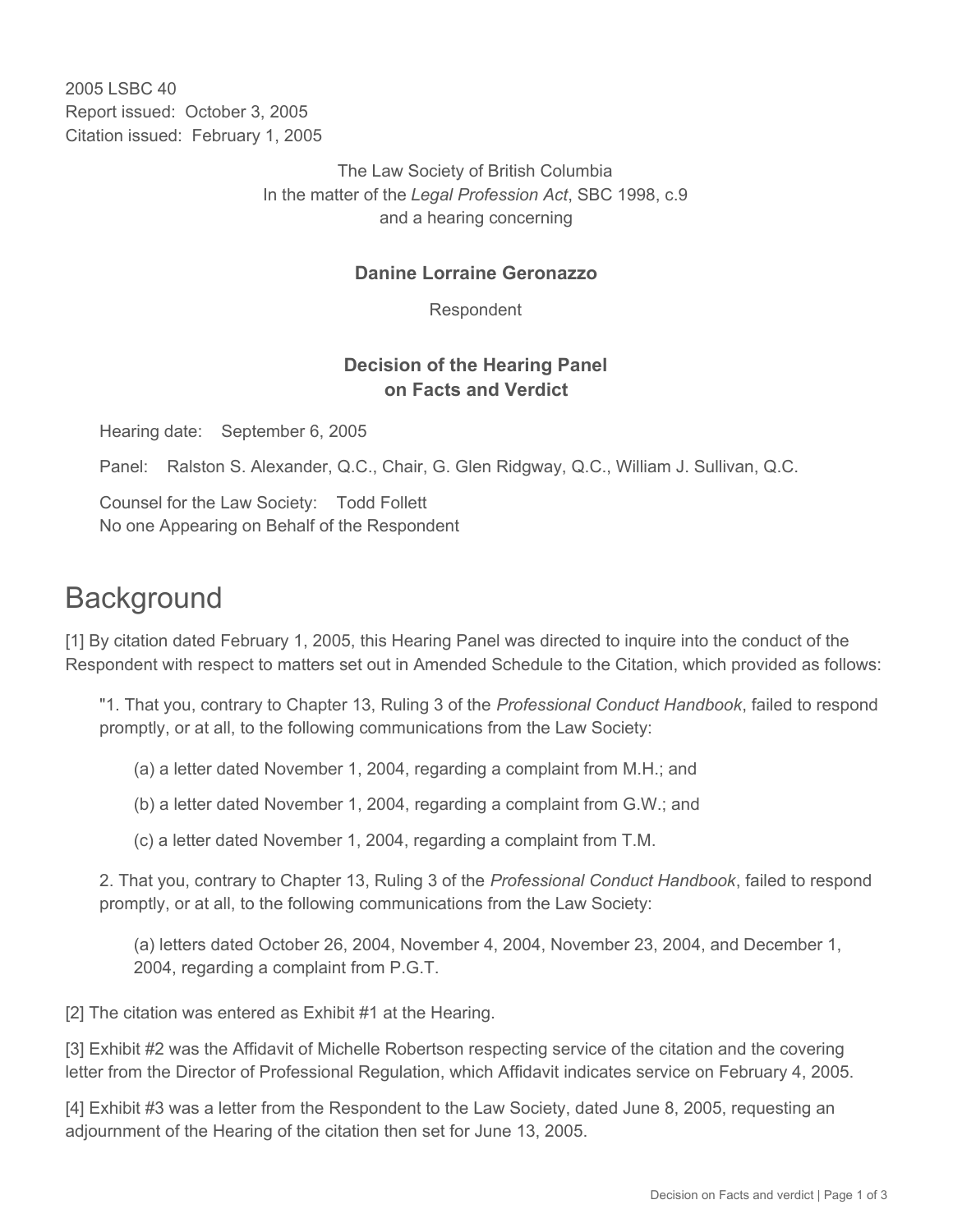2005 LSBC 40 Report issued: October 3, 2005 Citation issued: February 1, 2005

> The Law Society of British Columbia In the matter of the *Legal Profession Act*, SBC 1998, c.9 and a hearing concerning

## **Danine Lorraine Geronazzo**

Respondent

## **Decision of the Hearing Panel on Facts and Verdict**

Hearing date: September 6, 2005

Panel: Ralston S. Alexander, Q.C., Chair, G. Glen Ridgway, Q.C., William J. Sullivan, Q.C.

Counsel for the Law Society: Todd Follett No one Appearing on Behalf of the Respondent

## **Background**

[1] By citation dated February 1, 2005, this Hearing Panel was directed to inquire into the conduct of the Respondent with respect to matters set out in Amended Schedule to the Citation, which provided as follows:

"1. That you, contrary to Chapter 13, Ruling 3 of the *Professional Conduct Handbook*, failed to respond promptly, or at all, to the following communications from the Law Society:

- (a) a letter dated November 1, 2004, regarding a complaint from M.H.; and
- (b) a letter dated November 1, 2004, regarding a complaint from G.W.; and
- (c) a letter dated November 1, 2004, regarding a complaint from T.M.

2. That you, contrary to Chapter 13, Ruling 3 of the *Professional Conduct Handbook*, failed to respond promptly, or at all, to the following communications from the Law Society:

(a) letters dated October 26, 2004, November 4, 2004, November 23, 2004, and December 1, 2004, regarding a complaint from P.G.T.

[2] The citation was entered as Exhibit #1 at the Hearing.

[3] Exhibit #2 was the Affidavit of Michelle Robertson respecting service of the citation and the covering letter from the Director of Professional Regulation, which Affidavit indicates service on February 4, 2005.

[4] Exhibit #3 was a letter from the Respondent to the Law Society, dated June 8, 2005, requesting an adjournment of the Hearing of the citation then set for June 13, 2005.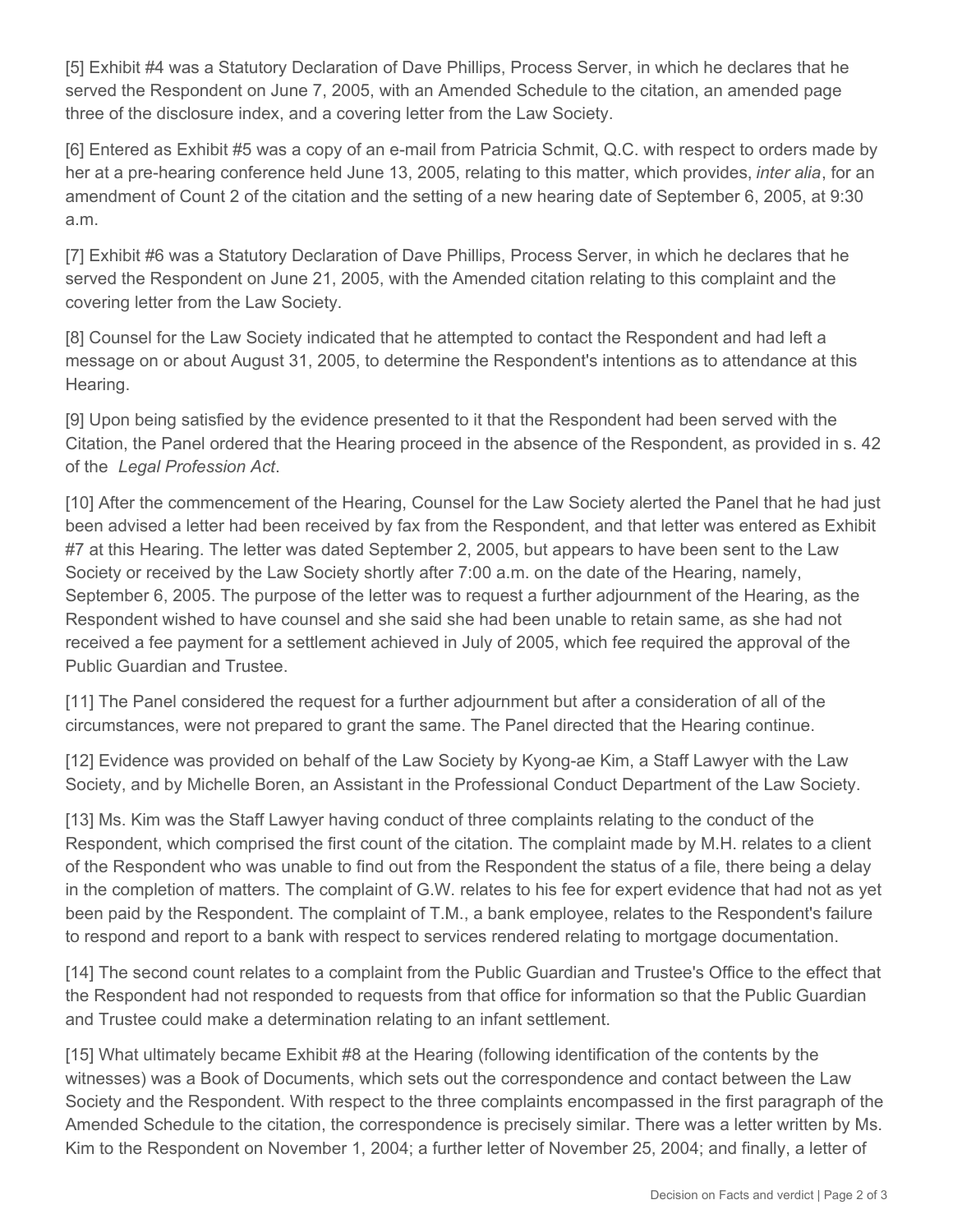[5] Exhibit #4 was a Statutory Declaration of Dave Phillips, Process Server, in which he declares that he served the Respondent on June 7, 2005, with an Amended Schedule to the citation, an amended page three of the disclosure index, and a covering letter from the Law Society.

[6] Entered as Exhibit #5 was a copy of an e-mail from Patricia Schmit, Q.C. with respect to orders made by her at a pre-hearing conference held June 13, 2005, relating to this matter, which provides, *inter alia*, for an amendment of Count 2 of the citation and the setting of a new hearing date of September 6, 2005, at 9:30 a.m.

[7] Exhibit #6 was a Statutory Declaration of Dave Phillips, Process Server, in which he declares that he served the Respondent on June 21, 2005, with the Amended citation relating to this complaint and the covering letter from the Law Society.

[8] Counsel for the Law Society indicated that he attempted to contact the Respondent and had left a message on or about August 31, 2005, to determine the Respondent's intentions as to attendance at this Hearing.

[9] Upon being satisfied by the evidence presented to it that the Respondent had been served with the Citation, the Panel ordered that the Hearing proceed in the absence of the Respondent, as provided in s. 42 of the *Legal Profession Act*.

[10] After the commencement of the Hearing, Counsel for the Law Society alerted the Panel that he had just been advised a letter had been received by fax from the Respondent, and that letter was entered as Exhibit #7 at this Hearing. The letter was dated September 2, 2005, but appears to have been sent to the Law Society or received by the Law Society shortly after 7:00 a.m. on the date of the Hearing, namely, September 6, 2005. The purpose of the letter was to request a further adjournment of the Hearing, as the Respondent wished to have counsel and she said she had been unable to retain same, as she had not received a fee payment for a settlement achieved in July of 2005, which fee required the approval of the Public Guardian and Trustee.

[11] The Panel considered the request for a further adjournment but after a consideration of all of the circumstances, were not prepared to grant the same. The Panel directed that the Hearing continue.

[12] Evidence was provided on behalf of the Law Society by Kyong-ae Kim, a Staff Lawyer with the Law Society, and by Michelle Boren, an Assistant in the Professional Conduct Department of the Law Society.

[13] Ms. Kim was the Staff Lawyer having conduct of three complaints relating to the conduct of the Respondent, which comprised the first count of the citation. The complaint made by M.H. relates to a client of the Respondent who was unable to find out from the Respondent the status of a file, there being a delay in the completion of matters. The complaint of G.W. relates to his fee for expert evidence that had not as yet been paid by the Respondent. The complaint of T.M., a bank employee, relates to the Respondent's failure to respond and report to a bank with respect to services rendered relating to mortgage documentation.

[14] The second count relates to a complaint from the Public Guardian and Trustee's Office to the effect that the Respondent had not responded to requests from that office for information so that the Public Guardian and Trustee could make a determination relating to an infant settlement.

[15] What ultimately became Exhibit #8 at the Hearing (following identification of the contents by the witnesses) was a Book of Documents, which sets out the correspondence and contact between the Law Society and the Respondent. With respect to the three complaints encompassed in the first paragraph of the Amended Schedule to the citation, the correspondence is precisely similar. There was a letter written by Ms. Kim to the Respondent on November 1, 2004; a further letter of November 25, 2004; and finally, a letter of